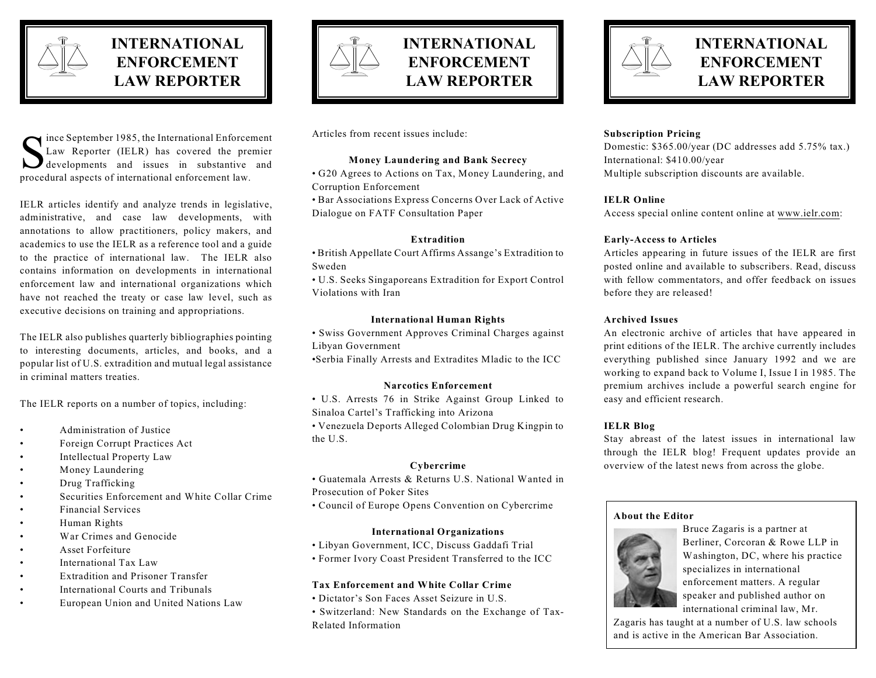

# **INTERNATIONAL ENFORCEMENT LAW REPORTER**

Similar Contractional Enforcement<br>
Law Reporter (IELR) has covered the premier<br>
developments and issues in substantive and<br>
procedural arects of international enforcement law ince September 1985, the International Enforcement Law Reporter (IELR) has covered the premier procedural aspects of international enforcement law.

IELR articles identify and analyze trends in legislative, administrative, and case law developments, with annotations to allow practitioners, policy makers, and academics to use the IELR as a reference tool and a guide to the practice of international law. The IELR also contains information on developments in international enforcement law and international organizations which have not reached the treaty or case law level, such as executive decisions on training and appropriations.

The IELR also publishes quarterly bibliographies pointing to interesting documents, articles, and books, and a popular list of U.S. extradition and mutual legal assistance in criminal matters treaties.

The IELR reports on a number of topics, including:

- Administration of Justice
- Foreign Corrupt Practices Act
- Intellectual Property Law
- Money Laundering
- Drug Trafficking
- Securities Enforcement and White Collar Crime
- Financial Services
- Human Rights
- War Crimes and Genocide
- Asset Forfeiture
- International Tax Law
- Extradition and Prisoner Transfer
- International Courts and Tribunals
- European Union and United Nations Law



## **INTERNATIONAL ENFORCEMENT LAW REPORTER**

Articles from recent issues include:

## **Money Laundering and Bank Secrecy**

• G20 Agrees to Actions on Tax, Money Laundering, and Corruption Enforcement

• Bar Associations Express Concerns Over Lack of Active Dialogue on FATF Consultation Paper

## **Extradition**

• British Appellate Court Affirms Assange's Extradition to Sweden

• U.S. Seeks Singaporeans Extradition for Export Control Violations with Iran

#### **International Human Rights**

• Swiss Government Approves Criminal Charges against Libyan Government

•Serbia Finally Arrests and Extradites Mladic to the ICC

## **Narcotics Enforcement**

• U.S. Arrests 76 in Strike Against Group Linked to Sinaloa Cartel's Trafficking into Arizona

• Venezuela Deports Alleged Colombian Drug Kingpin to the U.S.

## **Cybercrime**

- Guatemala Arrests & Returns U.S. National Wanted in
- Prosecution of Poker Sites
	- Council of Europe Opens Convention on Cybercrime

## **International Organizations**

- Libyan Government, ICC, Discuss Gaddafi Trial
- Former Ivory Coast President Transferred to the ICC

## **Tax Enforcement and White Collar Crime**

- Dictator's Son Faces Asset Seizure in U.S.
- Switzerland: New Standards on the Exchange of Tax-Related Information



## **INTERNATIONAL ENFORCEMENT LAW REPORTER**

## **Subscription Pricing**

Domestic: \$365.00/year (DC addresses add 5.75% tax.) International: \$410.00/year Multiple subscription discounts are available.

## **IELR Online**

Access special online content online at [www.ielr.com](http://www.ielr.com):

#### **Early-Access to Articles**

Articles appearing in future issues of the IELR are first posted online and available to subscribers. Read, discuss with fellow commentators, and offer feedback on issues before they are released!

#### **Archived Issues**

An electronic archive of articles that have appeared in print editions of the IELR. The archive currently includes everything published since January 1992 and we are working to expand back to Volume I, Issue I in 1985. The premium archives include a powerful search engine for easy and efficient research.

## **IELR Blog**

Stay abreast of the latest issues in international law through the IELR blog! Frequent updates provide an overview of the latest news from across the globe.

#### **About the Editor**



Bruce Zagaris is a partner at Berliner, Corcoran & Rowe LLP in Washington, DC, where his practice specializes in international enforcement matters. A regular speaker and published author on international criminal law, Mr.

Zagaris has taught at a number of U.S. law schools and is active in the American Bar Association.